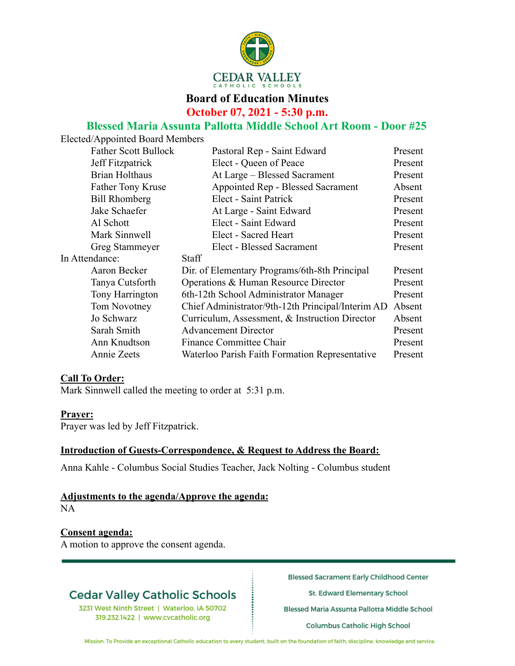

### **Board of Education Minutes October 07, 2021 - 5:30 p.m.**

# **Blessed Maria Assunta Pallotta Middle School Art Room - Door #25**

|                | Elected/Appointed Board Members |                                                   |         |
|----------------|---------------------------------|---------------------------------------------------|---------|
|                | <b>Father Scott Bullock</b>     | Pastoral Rep - Saint Edward                       | Present |
|                | Jeff Fitzpatrick                | Elect - Queen of Peace                            | Present |
|                | Brian Holthaus                  | At Large – Blessed Sacrament                      | Present |
|                | Father Tony Kruse               | Appointed Rep - Blessed Sacrament                 | Absent  |
|                | <b>Bill Rhomberg</b>            | Elect - Saint Patrick                             | Present |
|                | Jake Schaefer                   | At Large - Saint Edward                           | Present |
|                | Al Schott                       | Elect - Saint Edward                              | Present |
|                | Mark Sinnwell                   | Elect - Sacred Heart                              | Present |
|                | Greg Stammeyer                  | Elect - Blessed Sacrament                         | Present |
| In Attendance: |                                 | <b>Staff</b>                                      |         |
|                | Aaron Becker                    | Dir. of Elementary Programs/6th-8th Principal     | Present |
|                | Tanya Cutsforth                 | Operations & Human Resource Director              | Present |
|                | Tony Harrington                 | 6th-12th School Administrator Manager             | Present |
|                | Tom Novotney                    | Chief Administrator/9th-12th Principal/Interim AD | Absent  |
|                | Jo Schwarz                      | Curriculum, Assessment, & Instruction Director    | Absent  |
|                | Sarah Smith                     | <b>Advancement Director</b>                       | Present |
|                | Ann Knudtson                    | Finance Committee Chair                           | Present |
|                | Annie Zeets                     | Waterloo Parish Faith Formation Representative    | Present |
|                |                                 |                                                   |         |

#### **Call To Order:**

Mark Sinnwell called the meeting to order at 5:31 p.m.

#### **Prayer:**

Prayer was led by Jeff Fitzpatrick.

#### **Introduction of Guests-Correspondence, & Request to Address the Board:**

Anna Kahle - Columbus Social Studies Teacher, Jack Nolting - Columbus student

#### **Adjustments to the agenda/Approve the agenda:**

NA

#### **Consent agenda:**

A motion to approve the consent agenda.

### **Cedar Valley Catholic Schools**

3231 West Ninth Street | Waterloo, IA 50702 319.232.1422 | www.cvcatholic.org

**Blessed Sacrament Early Childhood Center** 

St. Edward Elementary School

Blessed Maria Assunta Pallotta Middle School

**Columbus Catholic High School** 

Mission: To Provide an exceptional Catholic education to every student, built on the foundation of faith, discipline, knowledge and service.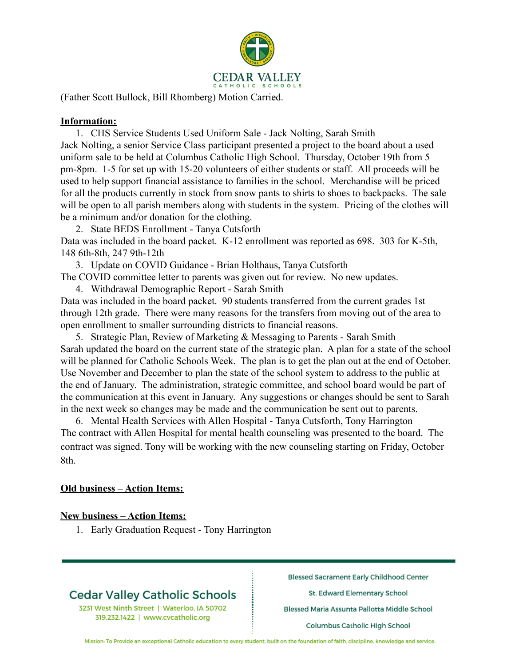

(Father Scott Bullock, Bill Rhomberg) Motion Carried.

#### **Information:**

1. CHS Service Students Used Uniform Sale - Jack Nolting, Sarah Smith Jack Nolting, a senior Service Class participant presented a project to the board about a used uniform sale to be held at Columbus Catholic High School. Thursday, October 19th from 5 pm-8pm. 1-5 for set up with 15-20 volunteers of either students or staff. All proceeds will be used to help support financial assistance to families in the school. Merchandise will be priced for all the products currently in stock from snow pants to shirts to shoes to backpacks. The sale will be open to all parish members along with students in the system. Pricing of the clothes will be a minimum and/or donation for the clothing.

2. State BEDS Enrollment - Tanya Cutsforth

Data was included in the board packet. K-12 enrollment was reported as 698. 303 for K-5th, 148 6th-8th, 247 9th-12th

3. Update on COVID Guidance - Brian Holthaus, Tanya Cutsforth

The COVID committee letter to parents was given out for review. No new updates.

4. Withdrawal Demographic Report - Sarah Smith

Data was included in the board packet. 90 students transferred from the current grades 1st through 12th grade. There were many reasons for the transfers from moving out of the area to open enrollment to smaller surrounding districts to financial reasons.

5. Strategic Plan, Review of Marketing & Messaging to Parents - Sarah Smith Sarah updated the board on the current state of the strategic plan. A plan for a state of the school will be planned for Catholic Schools Week. The plan is to get the plan out at the end of October. Use November and December to plan the state of the school system to address to the public at the end of January. The administration, strategic committee, and school board would be part of the communication at this event in January. Any suggestions or changes should be sent to Sarah in the next week so changes may be made and the communication be sent out to parents.

6. Mental Health Services with Allen Hospital - Tanya Cutsforth, Tony Harrington The contract with Allen Hospital for mental health counseling was presented to the board. The contract was signed. Tony will be working with the new counseling starting on Friday, October 8th.

#### **Old business – Action Items:**

#### **New business – Action Items:**

1. Early Graduation Request - Tony Harrington

### **Cedar Valley Catholic Schools**

3231 West Ninth Street | Waterloo, IA 50702 319.232.1422 | www.cvcatholic.org

**Blessed Sacrament Early Childhood Center** 

St. Edward Elementary School

Blessed Maria Assunta Pallotta Middle School

Columbus Catholic High School

Mission: To Provide an exceptional Catholic education to every student, built on the foundation of faith, discipline, knowledge and service.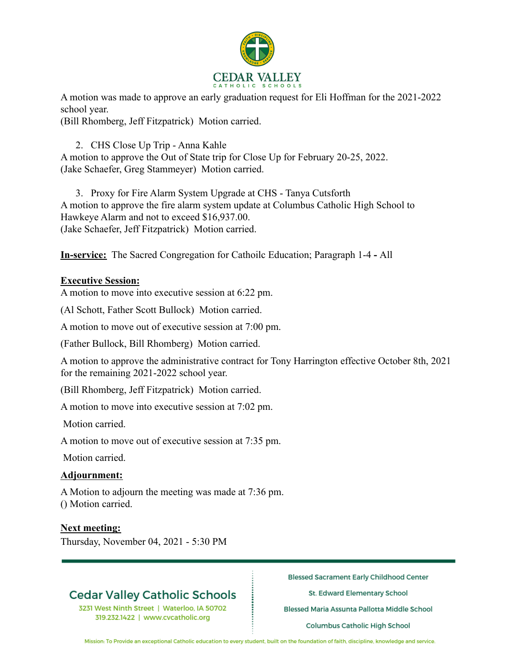

A motion was made to approve an early graduation request for Eli Hoffman for the 2021-2022 school year.

(Bill Rhomberg, Jeff Fitzpatrick) Motion carried.

#### 2. CHS Close Up Trip - Anna Kahle

A motion to approve the Out of State trip for Close Up for February 20-25, 2022. (Jake Schaefer, Greg Stammeyer) Motion carried.

3. Proxy for Fire Alarm System Upgrade at CHS - Tanya Cutsforth A motion to approve the fire alarm system update at Columbus Catholic High School to Hawkeye Alarm and not to exceed \$16,937.00. (Jake Schaefer, Jeff Fitzpatrick) Motion carried.

**In-service:** The Sacred Congregation for Cathoilc Education; Paragraph 1-4 **-** All

#### **Executive Session:**

A motion to move into executive session at 6:22 pm.

(Al Schott, Father Scott Bullock) Motion carried.

A motion to move out of executive session at 7:00 pm.

(Father Bullock, Bill Rhomberg) Motion carried.

A motion to approve the administrative contract for Tony Harrington effective October 8th, 2021 for the remaining 2021-2022 school year.

(Bill Rhomberg, Jeff Fitzpatrick) Motion carried.

A motion to move into executive session at 7:02 pm.

Motion carried.

A motion to move out of executive session at 7:35 pm.

Motion carried.

#### **Adjournment:**

A Motion to adjourn the meeting was made at 7:36 pm. () Motion carried.

#### **Next meeting:**

Thursday, November 04, 2021 - 5:30 PM

### **Cedar Valley Catholic Schools**

3231 West Ninth Street | Waterloo, IA 50702 319.232.1422 | www.cvcatholic.org

**Blessed Sacrament Early Childhood Center** 

St. Edward Elementary School

Blessed Maria Assunta Pallotta Middle School

Columbus Catholic High School

Mission: To Provide an exceptional Catholic education to every student, built on the foundation of faith, discipline, knowledge and service.